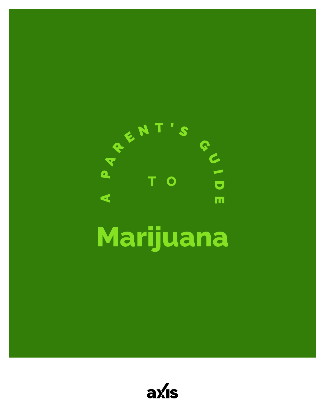

# **Marijuana**

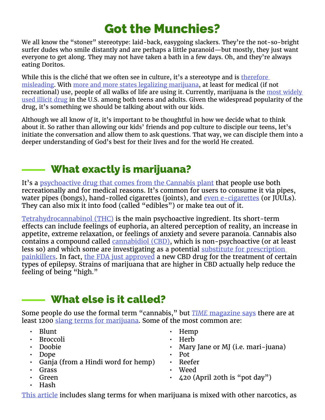# Got the Munchies?

We all know the "stoner" stereotype: laid-back, easygoing slackers. They're the not-so-bright surfer dudes who smile distantly and are perhaps a little paranoid—but mostly, they just want everyone to get along. They may not have taken a bath in a few days. Oh, and they're always eating Doritos.

While this is the cliché that we often see in culture, it's a stereotype and is therefore [misleading.](http://kdvr.com/2017/06/15/study-contradicts-negative-stereotypes-about-marijuana-consumers/) With [more and more states legalizing marijuana,](http://www.governing.com/gov-data/state-marijuana-laws-map-medical-recreational.html) at least for medical (if not recreational) use, people of all walks of life are using it. Currently, marijuana is the most widely [used illicit drug](https://teens.drugabuse.gov/drug-facts/marijuana) in the U.S. among both teens and adults. Given the widespread popularity of the drug, it's something we should be talking about with our kids.

Although we all know *of* it, it's important to be thoughtful in how we decide what to think about it. So rather than allowing our kids' friends and pop culture to disciple our teens, let's initiate the conversation and allow them to ask questions. That way, we can disciple them into a deeper understanding of God's best for their lives and for the world He created.

# What exactly is marijuana?

It's a [psychoactive drug that comes from the Cannabis plant](https://www.drugabuse.gov/publications/drugfacts/marijuana) that people use both recreationally and for medical reasons. It's common for users to consume it via pipes, water pipes (bongs), hand-rolled cigarettes (joints), and <u>even e-cigarettes</u> (or JUULs). They can also mix it into food (called "edibles") or make tea out of it.

[Tetrahydrocannabinol \(THC\)](https://www.livescience.com/24553-what-is-thc.html) is the main psychoactive ingredient. Its short-term effects can include feelings of euphoria, an altered perception of reality, an increase in appetite, extreme relaxation, or feelings of anxiety and severe paranoia. Cannabis also contains a compound called [cannabidiol \(CBD\)](https://www.projectcbd.org/about/what-cbd), which is non-psychoactive (or at least less so) and which some are investigating as a potential [substitute for prescription](https://www.solcbd.com/blogs/news/cannabidiol-replacing-prescription-painkillers)  [painkillers.](https://www.solcbd.com/blogs/news/cannabidiol-replacing-prescription-painkillers) In fact, [the FDA just approved](https://www.apnews.com/16829deb1ce0489aa7e0bd1afa02eb73/Medical-milestone:-US-OKs-marijuana-based-drug-for-seizures) a new CBD drug for the treatment of certain types of epilepsy. Strains of marijuana that are higher in CBD actually help reduce the feeling of being "high."

## What else is it called?

Some people do use the formal term "cannabis," but *TIME* [magazine says](http://time.com/4747501/420-day-weed-marijuana-pot-slang/) there are at least 1200 [slang terms for marijuana](https://en.wiktionary.org/wiki/Appendix:Cannabis_slang). Some of the most common are:

- Blunt
- Broccoli
- Doobie
- Dope
- Ganja (from a Hindi word for hemp)
- Grass
- Green
- Hash
- Hemp
- Herb
- Mary Jane or MJ (i.e. mari-juana)
- Pot
- Reefer
- Weed
- $\cdot$  420 (April 20th is "pot day")

[This article](http://This article includes slang terms for when marijuana is mixed with other narcotics, as well as slang terms for the action of using it, such as “toking,” “blazing,” and “torching up.” The most common terms for being under the influence of marijuana are being “high” or “stoned.” Other slang terms for being high include “baked,” “blazed,” “blitzed,” “cooked,” or “fried.”) includes slang terms for when marijuana is mixed with other narcotics, as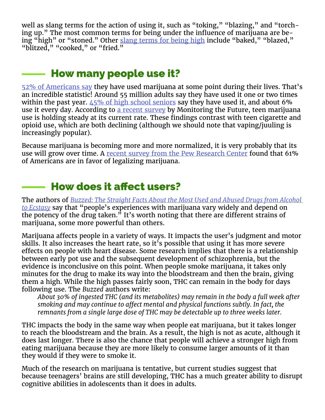well as slang terms for the action of using it, such as "toking," "blazing," and "torching up." The most common terms for being under the influence of marijuana are being "high" or "stoned." Other [slang terms for being high](https://www.ganjapreneur.com/being-high-stoned/) include "baked," "blazed," "blitzed," "cooked," or "fried."

#### $-$  How many people use it?

[52% of Americans say](http://www.sacbee.com/news/nation-world/national/article145681414.html) they have used marijuana at some point during their lives. That's an incredible statistic! Around 55 million adults say they have used it one or two times within the past year.  $45\%$  of high school seniors say they have used it, and about 6% use it every day. According to [a recent survey](https://www.youtube.com/watch?v=PQQhillaJwg) by Monitoring the Future, teen marijuana use is holding steady at its current rate. These findings contrast with teen cigarette and opioid use, which are both declining (although we should note that vaping/juuling is increasingly popular).

Because marijuana is becoming more and more normalized, it is very probably that its use will grow over time. A [recent survey from the Pew Research Center](http://www.pewresearch.org/fact-tank/2018/01/05/americans-support-marijuana-legalization/) found that 61% of Americans are in favor of legalizing marijuana.

#### How does it affect users?

The authors of *[Buzzed: The Straight Facts About the Most Used and Abused Drugs from Alcohol](https://www.amazon.com/Buzzed-Straight-Alcohol-Ecstasy-Revised-ebook/dp/B00FPT5KNI/ref=sr_1_1?ie=UTF8&qid=1526918964&sr=8-1&keywords=buzzed+the+straight+facts+about+the+most+used+and+abused+drugs)  [to Ecstasy](https://www.amazon.com/Buzzed-Straight-Alcohol-Ecstasy-Revised-ebook/dp/B00FPT5KNI/ref=sr_1_1?ie=UTF8&qid=1526918964&sr=8-1&keywords=buzzed+the+straight+facts+about+the+most+used+and+abused+drugs)* say that "people's experiences with marijuana vary widely and depend on the potency of the drug taken." It's worth noting that there are different strains of marijuana, some more powerful than others.

Marijuana affects people in a variety of ways. It impacts the user's judgment and motor skills. It also increases the heart rate, so it's possible that using it has more severe effects on people with heart disease. Some research implies that there is a relationship between early pot use and the subsequent development of schizophrenia, but the evidence is inconclusive on this point. When people smoke marijuana, it takes only minutes for the drug to make its way into the bloodstream and then the brain, giving them a high. While the high passes fairly soon, THC can remain in the body for days following use. The *Buzzed* authors write:

*About 30% of ingested THC (and its metabolites) may remain in the body a full week after smoking and may continue to affect mental and physical functions subtly. In fact, the remnants from a single large dose of THC may be detectable up to three weeks later.*

THC impacts the body in the same way when people eat marijuana, but it takes longer to reach the bloodstream and the brain. As a result, the high is not as acute, although it does last longer. There is also the chance that people will achieve a stronger high from eating marijuana because they are more likely to consume larger amounts of it than they would if they were to smoke it.

Much of the research on marijuana is tentative, but current studies suggest that because teenagers' brains are still developing, THC has a much greater ability to disrupt cognitive abilities in adolescents than it does in adults.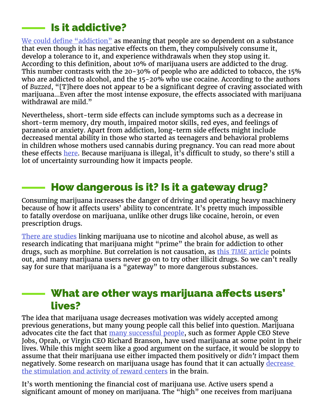# Is it addictive?

[We could define "addiction"](http://healthland.time.com/2010/10/19/is-marijuana-addictive-it-depends-how-you-define-addiction/) as meaning that people are so dependent on a substance that even though it has negative effects on them, they compulsively consume it, develop a tolerance to it, and experience withdrawals when they stop using it. According to this definition, about 10% of marijuana users are addicted to the drug. This number contrasts with the 20-30% of people who are addicted to tobacco, the 15% who are addicted to alcohol, and the 15-20% who use cocaine. According to the authors of *Buzzed*, "[T]here does not appear to be a significant degree of craving associated with marijuana...Even after the most intense exposure, the effects associated with marijuana withdrawal are mild."

Nevertheless, short-term side effects can include symptoms such as a decrease in short-term memory, dry mouth, impaired motor skills, red eyes, and feelings of paranoia or anxiety. Apart from addiction, long-term side effects might include decreased mental ability in those who started as teenagers and behavioral problems in children whose mothers used cannabis during pregnancy. You can read more about these effects [here](https://www.drugabuse.gov/publications/drugfacts/marijuana). Because marijuana is illegal, it's difficult to study, so there's still a lot of uncertainty surrounding how it impacts people.

#### How dangerous is it? Is it a gateway drug?

Consuming marijuana increases the danger of driving and operating heavy machinery because of how it affects users' ability to concentrate. It's pretty much impossible to fatally overdose on marijuana, unlike other drugs like cocaine, heroin, or even prescription drugs.

[There are studies](https://www.drugabuse.gov/publications/research-reports/marijuana/marijuana-gateway-drug) linking marijuana use to nicotine and alcohol abuse, as well as research indicating that marijuana might "prime" the brain for addiction to other drugs, such as morphine. But correlation is not causation, as this *TIME* [article](http://healthland.time.com/2010/10/29/marijuna-as-a-gateway-drug-the-myth-that-will-not-die/) points out, and many marijuana users never go on to try other illicit drugs. So we can't really say for sure that marijuana is a "gateway" to more dangerous substances.

#### What are other ways marijuana affects users' lives?

The idea that marijuana usage decreases motivation was widely accepted among previous generations, but many young people call this belief into question. Marijuana advocates cite the fact that [many successful people](https://herb.co/2016/03/23/7-successful-ceos-who-used-marijuana/), such as former Apple CEO Steve Jobs, Oprah, or Virgin CEO Richard Branson, have used marijuana at some point in their lives. While this might seem like a good argument on the surface, it would be sloppy to assume that their marijuana use either impacted them positively or *didn't* impact them negatively. Some research on marijuana usage has found that it can actually decrease [the stimulation and activity of reward centers](https://www.psychologytoday.com/blog/the-athletes-way/201307/does-long-term-cannabis-use-stifle-motivation) in the brain.

It's worth mentioning the financial cost of marijuana use. Active users spend a significant amount of money on marijuana. The "high" one receives from marijuana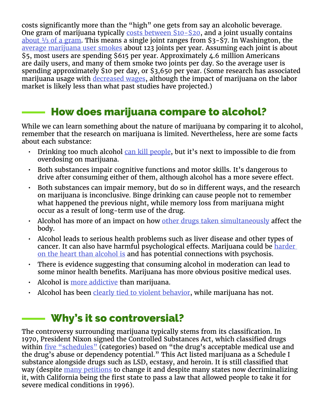costs significantly more than the "high" one gets from say an alcoholic beverage. One gram of marijuana typically [costs between \\$10-\\$20,](http://maryjanesdiary.com/how-much-does-weed-cost/) and a joint usually contains [about ⅓ of a gram](https://www.livescience.com/55464-marijuana-average-joint.html). This means a single joint ranges from \$3-\$7. In Washington, the [average marijuana user smokes](https://www.seattletimes.com/seattle-news/average-pot-user-consumes-123-joints-per-year-state-estimates/) about 123 joints per year. Assuming each joint is about \$5, most users are spending \$615 per year. Approximately 4.6 million Americans are daily users, and many of them smoke two joints per day. So the average user is spending approximately \$10 per day, or \$3,650 per year. (Some research has associated marijuana usage with [decreased wages](https://www.ncbi.nlm.nih.gov/pmc/articles/PMC3867578/), although the impact of marijuana on the labor market is likely less than what past studies have projected.)

#### How does marijuana compare to alcohol?

While we can learn something about the nature of marijuana by comparing it to alcohol, remember that the research on marijuana is limited. Nevertheless, here are some facts about each substance:

- Drinking too much alcohol [can kill people,](https://drugabuse.com/marijuana-vs-alcohol/) but it's next to impossible to die from overdosing on marijuana.
- Both substances impair cognitive functions and motor skills. It's dangerous to drive after consuming either of them, although alcohol has a more severe effect.
- Both substances can impair memory, but do so in different ways, and the research on marijuana is inconclusive. Binge drinking can cause people not to remember what happened the previous night, while memory loss from marijuana might occur as a result of long-term use of the drug.
- Alcohol has more of an impact on how [other drugs taken simultaneously](https://www.livescience.com/42738-marijuana-vs-alcohol-health-effects.html) affect the body.
- Alcohol leads to serious health problems such as liver disease and other types of cancer. It can also have harmful psychological effects. Marijuana could be harder [on the heart than alcohol is](http://www.businessinsider.com/alcohol-marijuana-which-worse-health-2017-11#marijuana-may-be-harder-on-your-heart-while-moderate-drinking-could-be-beneficial-3) and has potential connections with psychosis.
- There is evidence suggesting that consuming alcohol in moderation can lead to some minor health benefits. Marijuana has more obvious positive medical uses.
- Alcohol is [more addictive](http://www.businessinsider.com/alcohol-marijuana-which-worse-health-2017-11#marijuana-may-be-harder-on-your-heart-while-moderate-drinking-could-be-beneficial-3) than marijuana.
- Alcohol has been *[clearly tied to violent behavior](http://www.businessinsider.com/alcohol-marijuana-which-worse-health-2017-11#marijuana-may-be-harder-on-your-heart-while-moderate-drinking-could-be-beneficial-3)*, while marijuana has not.

#### Why's it so controversial?

The controversy surrounding marijuana typically stems from its classification. In 1970, President Nixon signed the Controlled Substances Act, which classified drugs within [five "schedules"](https://www.dea.gov/druginfo/ds.shtml) (categories) based on "the drug's acceptable medical use and the drug's abuse or dependency potential." This Act listed marijuana as a Schedule I substance alongside drugs such as LSD, ecstasy, and heroin. It is still classified that way (despite [many petitions](https://en.wikipedia.org/wiki/Removal_of_cannabis_from_Schedule_I_of_the_Controlled_Substances_Act) to change it and despite many states now decriminalizing it, with California being the first state to pass a law that allowed people to take it for severe medical conditions in 1996).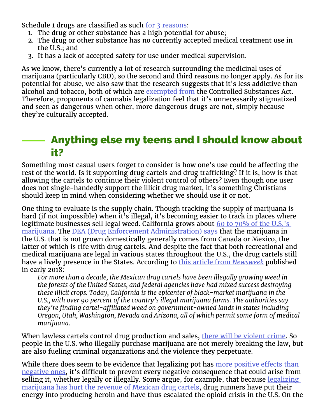Schedule 1 drugs are classified as such <u>for 3 reasons</u>:

- 1. The drug or other substance has a high potential for abuse;
- 2. The drug or other substance has no currently accepted medical treatment use in the U.S.; and
- 3. It has a lack of accepted safety for use under medical supervision.

As we know, there's currently a lot of research surrounding the medicinal uses of marijuana (particularly CBD), so the second and third reasons no longer apply. As for its potential for abuse, we also saw that the research suggests that it's less addictive than alcohol and tobacco, both of which are [exempted from](https://www.vox.com/cards/war-on-drugs-marijuana-cocaine-heroin-meth/war-on-drugs-alcohol-tobacco) the Controlled Substances Act. Therefore, proponents of cannabis legalization feel that it's unnecessarily stigmatized and seen as dangerous when other, more dangerous drugs are not, simply because they're culturally accepted.

#### Anything else my teens and I should know about it?

Something most casual users forget to consider is how one's use could be affecting the rest of the world. Is it supporting drug cartels and drug trafficking? If it is, how is that allowing the cartels to continue their violent control of others? Even though one user does not single-handedly support the illicit drug market, it's something Christians should keep in mind when considering whether we should use it or not.

One thing to evaluate is the supply chain. Though tracking the supply of marijuana is hard (if not impossible) when it's illegal, it's becoming easier to track in places where legitimate businesses sell legal weed. California grows about  $60$  to  $70\%$  of the U.S.'s [marijuana](https://academic.oup.com/bioscience/article/65/8/822/240374). The [DEA \(Drug Enforcement Administration\) says](https://www.deamuseum.org/ccp/cannabis/production-distribution.html) that the marijuana in the U.S. that is not grown domestically generally comes from Canada or Mexico, the latter of which is rife with drug cartels. And despite the fact that both recreational and medical marijuana are legal in various states throughout the U.S., the drug cartels still have a lively presence in the States. According to [this article from](http://www.newsweek.com/2018/01/19/mexican-drug-cartels-taking-over-california-legal-marijuana-775665.html) *Newsweek* published in early 2018:

*For more than a decade, the Mexican drug cartels have been illegally growing weed in the forests of the United States, and federal agencies have had mixed success destroying these illicit crops. Today, California is the epicenter of black-market marijuana in the U.S., with over 90 percent of the country's illegal marijuana farms. The authorities say they're finding cartel-affiliated weed on government-owned lands in states including Oregon, Utah, Washington, Nevada and Arizona, all of which permit some form of medical marijuana.*

When lawless cartels control drug production and sales, [there will be violent crime](http://www.bbc.com/news/world-latin-america-10681249). So people in the U.S. who illegally purchase marijuana are not merely breaking the law, but are also fueling criminal organizations and the violence they perpetuate.

While there does seem to be evidence that legalizing pot has more positive effects than [negative ones](http://norml.org/legalization/item/real-world-ramifications-of-cannabis-legalization-and-decriminalization-2), it's difficult to prevent every negative consequence that could arise from selling it, whether legally or illegally. Some argue, for example, that because <u>legalizing</u> [marijuana has hurt the revenue of Mexican drug cartels](https://www.esquire.com/news-politics/a46918/heroin-mexico-el-chapo-cartels-don-winslow/), drug runners have put their energy into producing heroin and have thus escalated the opioid crisis in the U.S. On the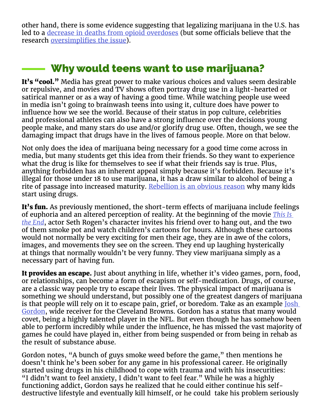other hand, there is some evidence suggesting that legalizing marijuana in the U.S. has led to a [decrease in deaths from opioid overdoses](https://www.npr.org/sections/health-shots/2018/04/02/598787768/opioid-use-lower-in-states-that-eased-marijuana-laws) (but some officials believe that the research [oversimplifies the issue](https://www.denverpost.com/2017/10/16/study-marijuana-legalization-reduced-opioid-deaths-colorado/)).

#### Why would teens want to use marijuana?

It's "cool." Media has great power to make various choices and values seem desirable or repulsive, and movies and TV shows often portray drug use in a light-hearted or satirical manner or as a way of having a good time. While watching people use weed in media isn't going to brainwash teens into using it, culture does have power to influence how we see the world. Because of their status in pop culture, celebrities and professional athletes can also have a strong influence over the decisions young people make, and many stars do use and/or glorify drug use. Often, though, we see the damaging impact that drugs have in the lives of famous people. More on that below.

Not only does the idea of marijuana being necessary for a good time come across in media, but many students get this idea from their friends. So they want to experience what the drug is like for themselves to see if what their friends say is true. Plus, anything forbidden has an inherent appeal simply because it's forbidden. Because it's illegal for those under 18 to use marijuana, it has a draw similar to alcohol of being a rite of passage into increased maturity. [Rebellion is an obvious reason](https://www.verywellmind.com/at-what-age-do-children-generally-start-smoking-pot-63541) why many kids start using drugs.

It's fun. As previously mentioned, the short-term effects of marijuana include feelings of euphoria and an altered perception of reality. At the beginning of the movie *[This Is](http://www.imdb.com/title/tt1245492/)  [the End](http://www.imdb.com/title/tt1245492/)*, actor Seth Rogen's character invites his friend over to hang out, and the two of them smoke pot and watch children's cartoons for hours. Although these cartoons would not normally be very exciting for men their age, they are in awe of the colors, images, and movements they see on the screen. They end up laughing hysterically at things that normally wouldn't be very funny. They view marijuana simply as a necessary part of having fun.

It provides an escape. Just about anything in life, whether it's video games, porn, food, or relationships, can become a form of escapism or self-medication. Drugs, of course, are a classic way people try to escape their lives. The physical impact of marijuana is something we should understand, but possibly one of the greatest dangers of marijuana is that people will rely on it to escape pain, grief, or boredom. Take as an example *Josh* [Gordon](https://www.gq.com/story/josh-gordon-nfl-2017-interview), wide receiver for the Cleveland Browns. Gordon has a status that many would covet, being a highly talented player in the NFL. But even though he has somehow been able to perform incredibly while under the influence, he has missed the vast majority of games he could have played in, either from being suspended or from being in rehab as the result of substance abuse.

Gordon notes, "A bunch of guys smoke weed before the game," then mentions he doesn't think he's been sober for any game in his professional career. He originally started using drugs in his childhood to cope with trauma and with his insecurities: "I didn't want to feel anxiety, I didn't want to feel fear." While he was a highly functioning addict, Gordon says he realized that he could either continue his selfdestructive lifestyle and eventually kill himself, or he could take his problem seriously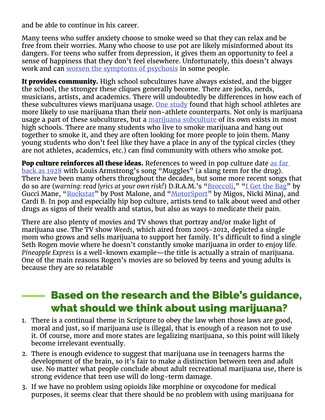and be able to continue in his career.

Many teens who suffer anxiety choose to smoke weed so that they can relax and be free from their worries. Many who choose to use pot are likely misinformed about its dangers. For teens who suffer from depression, it gives them an opportunity to feel a sense of happiness that they don't feel elsewhere. Unfortunately, this doesn't always work and can [worsen the symptoms of psychosis](http://www.medicaldaily.com/how-marijuana-relieves-or-exacerbates-anxiety-270717) in some people.

It provides community. High school subcultures have always existed, and the bigger the school, the stronger these cliques generally become. There are jocks, nerds, musicians, artists, and academics. There will undoubtedly be differences in how each of these subcultures views marijuana usage. [One study](https://www.ncbi.nlm.nih.gov/pubmed/9673074) found that high school athletes are more likely to use marijuana than their non-athlete counterparts. Not only is marijuana usage a part of these subcultures, but a [marijuana subculture](https://www.huffingtonpost.com/entry/smart-kids-pot-alcohol_us_58b09d7ce4b0a8a9b78235c0) of its own exists in most high schools. There are many students who live to smoke marijuana and hang out together to smoke it, and they are often looking for more people to join them. Many young students who don't feel like they have a place in any of the typical circles (they are not athletes, academics, etc.) can find community with others who smoke pot.

**Pop culture reinforces all these ideas.** References to weed in pop culture date as far [back as 1928](https://www.metrotimes.com/detroit/pot-songs-through-the-decades/Content?oid=2150583) with Louis Armstrong's song "Muggles" (a slang term for the drug). There have been many others throughout the decades, but some more recent songs that do so are (*warning: read lyrics at your own risk!*) D.R.A.M.'s ["Broccoli,](https://genius.com/Dram-broccoli-lyrics)" "[I Get the Bag](https://genius.com/Gucci-mane-i-get-the-bag-lyrics)" by Gucci Mane, ["Rockstar](https://genius.com/Post-malone-rockstar-lyrics)" by Post Malone, and "[MotorSport"](https://genius.com/Migos-nicki-minaj-and-cardi-b-motorsport-lyrics) by Migos, Nicki Minaj, and Cardi B. In pop and especially hip hop culture, artists tend to talk about weed and other drugs as signs of their wealth and status, but also as ways to medicate their pain.

There are also plenty of movies and TV shows that portray and/or make light of marijuana use. The TV show *Weeds*, which aired from 2005-2012, depicted a single mom who grows and sells marijuana to support her family. It's difficult to find a single Seth Rogen movie where he doesn't constantly smoke marijuana in order to enjoy life. *Pineapple Express* is a well-known example—the title is actually a strain of marijuana. One of the main reasons Rogen's movies are so beloved by teens and young adults is because they are so relatable

# Based on the research and the Bible's guidance, what should we think about using marijuana?

- 1. There is a continual theme in Scripture to obey the law when those laws are good, moral and just, so if marijuana use is illegal, that is enough of a reason not to use it. Of course, more and more states are legalizing marijuana, so this point will likely become irrelevant eventually.
- 2. There is enough evidence to suggest that marijuana use in teenagers harms the development of the brain, so it's fair to make a distinction between teen and adult use. No matter what people conclude about adult recreational marijuana use, there is strong evidence that teen use will do long-term damage.
- 3. If we have no problem using opioids like morphine or oxycodone for medical purposes, it seems clear that there should be no problem with using marijuana for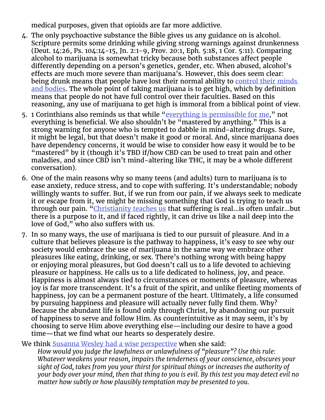medical purposes, given that opioids are far more addictive.

- 4. The only psychoactive substance the Bible gives us any guidance on is alcohol. Scripture permits some drinking while giving strong warnings against drunkenness (Deut. 14:26, Ps. 104:14-15, Jn. 2:1-9, Prov. 20:1, Eph. 5:18, 1 Cor. 5:11). Comparing alcohol to marijuana is somewhat tricky because both substances affect people differently depending on a person's genetics, gender, etc. When abused, alcohol's effects are much more severe than marijuana's. However, this does seem clear: being drunk means that people have lost their normal ability to control their minds [and bodies](https://www.merriam-webster.com/dictionary/intoxicated). The whole point of taking marijuana is to get high, which by definition means that people do not have full control over their faculties. Based on this reasoning, any use of marijuana to get high is immoral from a biblical point of view.
- 5. 1 Corinthians also reminds us that while ["everything is permissible for me](http://biblehub.com/1_corinthians/6-12.htm)," not everything is beneficial. We also shouldn't be "mastered by anything." This is a strong warning for anyone who is tempted to dabble in mind-altering drugs. Sure, it might be legal, but that doesn't make it good or moral. And, since marijuana does have dependency concerns, it would be wise to consider how easy it would be to be "mastered" by it (though it's TBD if/how CBD can be used to treat pain and other maladies, and since CBD isn't mind-altering like THC, it may be a whole different conversation).
- 6. One of the main reasons why so many teens (and adults) turn to marijuana is to ease anxiety, reduce stress, and to cope with suffering. It's understandable; nobody willingly wants to suffer. But, if we run from our pain, if we always seek to medicate it or escape from it, we might be missing something that God is trying to teach us through our pain. ["Christianity teaches us](https://www.desiringgod.org/articles/20-quotes-from-walking-with-god-through-pain-and-suffering) that suffering is real...is often unfair...but there is a purpose to it, and if faced rightly, it can drive us like a nail deep into the love of God," who also suffers with us.
- 7. In so many ways, the use of marijuana is tied to our pursuit of pleasure. And in a culture that believes pleasure is the pathway to happiness, it's easy to see why our society would embrace the use of marijuana in the same way we embrace other pleasures like eating, drinking, or sex. There's nothing wrong with being happy or enjoying moral pleasures, but God doesn't call us to a life devoted to achieving pleasure or happiness. He calls us to a life dedicated to holiness, joy, and peace. Happiness is almost always tied to circumstances or moments of pleasure, whereas joy is far more transcendent. It's a fruit of the spirit, and unlike fleeting moments of happiness, joy can be a permanent posture of the heart. Ultimately, a life consumed by pursuing happiness and pleasure will actually never fully find them. Why? Because the abundant life is found only through Christ, by abandoning our pursuit of happiness to serve and follow Him. As counterintuitive as it may seem, it's by choosing to serve Him above everything else—including our desire to have a good time—that we find what our hearts so desperately desire.

We think [Susanna Wesley had a wise perspective](https://www.goodreads.com/author/show/474367.Susanna_Wesley) when she said:

*How would you judge the lawfulness or unlawfulness of "pleasure"? Use this rule: Whatever weakens your reason, impairs the tenderness of your conscience, obscures your sight of God, takes from you your thirst for spiritual things or increases the authority of your body over your mind, then that thing to you is evil. By this test you may detect evil no matter how subtly or how plausibly temptation may be presented to you.*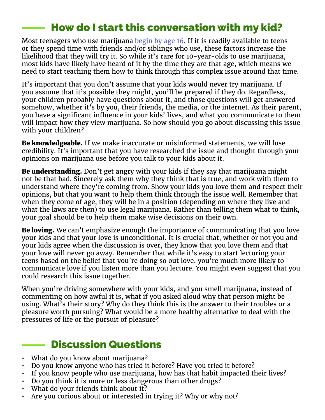# How do I start this conversation with my kid?

Most teenagers who use marijuana [begin by age 16](https://www.verywellmind.com/at-what-age-do-children-generally-start-smoking-pot-63541). If it is readily available to teens or they spend time with friends and/or siblings who use, these factors increase the likelihood that they will try it. So while it's rare for 10-year-olds to use marijuana, most kids have likely have heard of it by the time they are that age, which means we need to start teaching them how to think through this complex issue around that time.

It's important that you don't assume that your kids would never try marijuana. If you assume that it's possible they might, you'll be prepared if they do. Regardless, your children probably have questions about it, and those questions will get answered somehow, whether it's by you, their friends, the media, or the internet. As their parent, you have a significant influence in your kids' lives, and what you communicate to them will impact how they view marijuana. So how should you go about discussing this issue with your children?

**Be knowledgeable.** If we make inaccurate or misinformed statements, we will lose credibility. It's important that you have researched the issue and thought through your opinions on marijuana use before you talk to your kids about it.

**Be understanding.** Don't get angry with your kids if they say that marijuana might not be that bad. Sincerely ask them why they think that is true, and work with them to understand where they're coming from. Show your kids you love them and respect their opinions, but that you want to help them think through the issue well. Remember that when they come of age, they will be in a position (depending on where they live and what the laws are then) to use legal marijuana. Rather than telling them what to think, your goal should be to help them make wise decisions on their own.

**Be loving.** We can't emphasize enough the importance of communicating that you love your kids and that your love is unconditional. It is crucial that, whether or not you and your kids agree when the discussion is over, they know that you love them and that your love will never go away. Remember that while it's easy to start lecturing your teens based on the belief that you're doing so out love, you're much more likely to communicate love if you listen more than you lecture. You might even suggest that you could research this issue together.

When you're driving somewhere with your kids, and you smell marijuana, instead of commenting on how awful it is, what if you asked aloud why that person might be using. What's their story? Why do they think this is the answer to their troubles or a pleasure worth pursuing? What would be a more healthy alternative to deal with the pressures of life or the pursuit of pleasure?

#### Discussion Questions

- What do you know about marijuana?
- Do you know anyone who has tried it before? Have you tried it before?
- If you know people who use marijuana, how has that habit impacted their lives?
- Do you think it is more or less dangerous than other drugs?
- What do your friends think about it?
- Are you curious about or interested in trying it? Why or why not?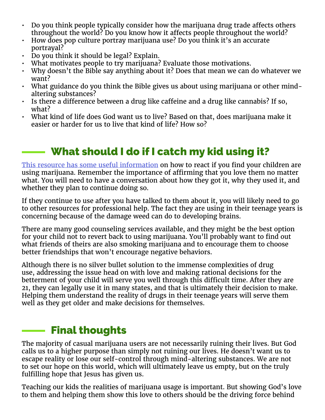- Do you think people typically consider how the marijuana drug trade affects others throughout the world? Do you know how it affects people throughout the world?
- How does pop culture portray marijuana use? Do you think it's an accurate portrayal?
- Do you think it should be legal? Explain.
- What motivates people to try marijuana? Evaluate those motivations.
- Why doesn't the Bible say anything about it? Does that mean we can do whatever we want?
- What guidance do you think the Bible gives us about using marijuana or other mindaltering substances?
- Is there a difference between a drug like caffeine and a drug like cannabis? If so, what?
- What kind of life does God want us to live? Based on that, does marijuana make it easier or harder for us to live that kind of life? How so?

# What should I do if I catch my kid using it?

[This resource has some useful information](https://americanaddictioncenters.org/marijuana-rehab/child-using/) on how to react if you find your children are using marijuana. Remember the importance of affirming that you love them no matter what. You will need to have a conversation about how they got it, why they used it, and whether they plan to continue doing so.

If they continue to use after you have talked to them about it, you will likely need to go to other resources for professional help. The fact they are using in their teenage years is concerning because of the damage weed can do to developing brains.

There are many good counseling services available, and they might be the best option for your child not to revert back to using marijuana. You'll probably want to find out what friends of theirs are also smoking marijuana and to encourage them to choose better friendships that won't encourage negative behaviors.

Although there is no silver bullet solution to the immense complexities of drug use, addressing the issue head on with love and making rational decisions for the betterment of your child will serve you well through this difficult time. After they are 21, they can legally use it in many states, and that is ultimately their decision to make. Helping them understand the reality of drugs in their teenage years will serve them well as they get older and make decisions for themselves.

# Final thoughts

The majority of casual marijuana users are not necessarily ruining their lives. But God calls us to a higher purpose than simply not ruining our lives. He doesn't want us to escape reality or lose our self-control through mind-altering substances. We are not to set our hope on this world, which will ultimately leave us empty, but on the truly fulfilling hope that Jesus has given us.

Teaching our kids the realities of marijuana usage is important. But showing God's love to them and helping them show this love to others should be the driving force behind